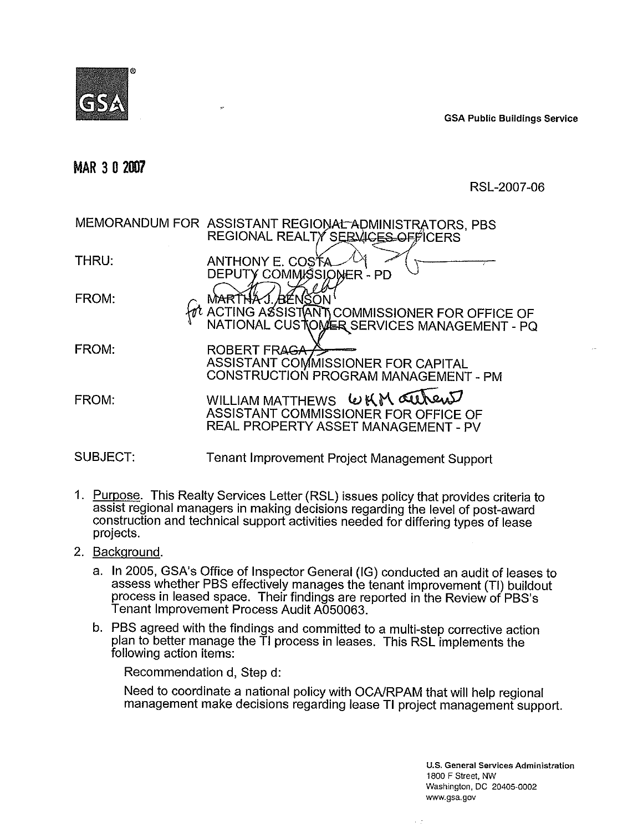

**BM GSA Public Buildings Service**

# **MAR 3 0 AM7**

RSL-2007-06

|          | MEMORANDUM FOR ASSISTANT REGIONAL ADMINISTRATORS, PBS<br>REGIONAL REALTY SERVICES OFFICERS                      |
|----------|-----------------------------------------------------------------------------------------------------------------|
| THRU:    | ANTHONY E. COSTA<br>DEPUTY COMMISSIONER - PD                                                                    |
| FROM:    | . <i>I</i> BYENSON<br>ACTING ASSISTANT COMMISSIONER FOR OFFICE OF<br>NATIONAL CUSTOMER SERVICES MANAGEMENT - PQ |
| FROM:    | <b>ROBERT FRAGA-</b><br>ASSISTANT COMMISSIONER FOR CAPITAL<br>CONSTRUCTION PROGRAM MANAGEMENT - PM              |
| FROM:    | WILLIAM MATTHEWS WKM aureus<br>ASSISTANT COMMISSIONER FOR OFFICE OF<br>REAL PROPERTY ASSET MANAGEMENT - PV      |
| SUBJECT: | Tenant Improvement Project Management Support                                                                   |

- 1. Purpose. This Realty Services Letter (RSL) issues policy that provides criteria to assist regional managers in making decisions regarding the level of post-award construction and technical support activities needed for differing types of lease projects.
- 2. Background.
	- a. In 2005, GSA's Office of Inspector General (IG) conducted an audit of leases to assess whether PBS effectively manages the tenant improvement (TI) buildout process in leased space. Their findings are reported in the Review of PBS's Tenant Improvement Process Audit A050063.
	- b. PBS agreed with the findings and committed to a multi-step corrective action plan to better manage the TI process in leases. This RSL implements the following action items:

Recommendation d, Step d:

Need to coordinate a national policy with OCAIRPAM that will help regional management make decisions regarding lease TI project management support.

> U.S. General Services Administration 1800 F Street, NW Washington, DC 20405-0002 [www.gsa.gov](http://www.gsa.gov)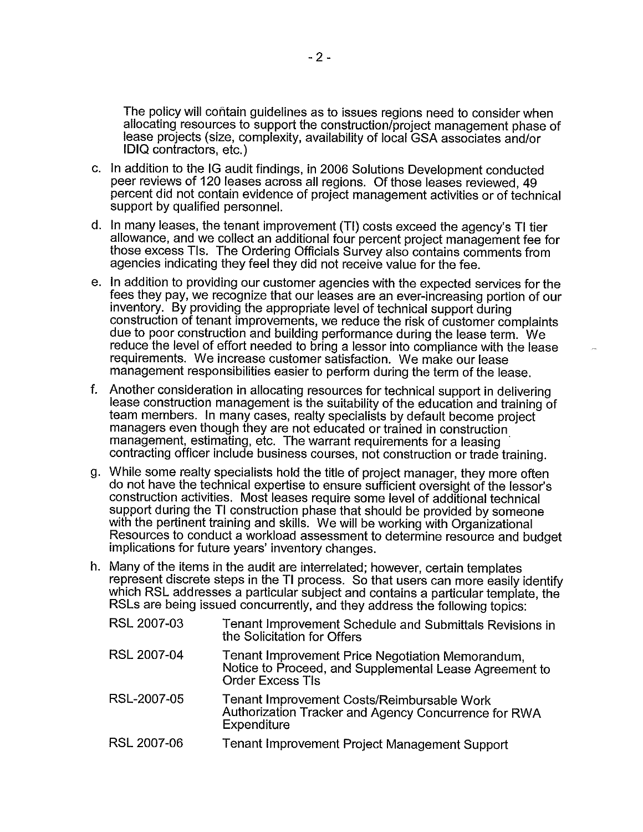The policy will contain guidelines as to issues regions need to consider when allocating resources to support the construction/project management phase of lease projects (size, complexity, availability of local GSA associates and/or IDIQ contractors, etc.)

- c. In addition to the IG audit findings, in 2006 Solutions Development conducted peer reviews of 120 leases across all regions. Of those leases reviewed, 49 percent did not contain evidence of project management activities or of technical support by qualified personnel.
- d. In many leases, the tenant improvement (TI) costs exceed the agency's TI tier allowance, and we collect an additional four percent project management fee for those excess Tls. The Ordering Officials Survey also contains comments from agencies indicating they feel they did not receive value for the fee.
- e. In addition to providing our customer agencies with the expected services for the fees they pay, we recognize that our leases are an ever-increasing portion of our inventory. By providing the appropriate level of technical support during construction of tenant improvements, we reduce the risk of customer complaints due to poor construction and building performance during the lease term. We reduce the level of effort needed to bring a lessor into compliance with the lease requirements. We increase customer satisfaction. We make our lease management responsibilities easier to perform during the term of the lease.
- Another consideration in allocating resources for technical support in delivering lease construction management is the suitability of the education and training of team members. In many cases, realty specialists by default become project managers even though they are not educated or trained in construction . management, estimating, etc. The warrant requirements for a leasing contracting officer include business courses, not construction or trade training.
- g. While some realty specialists hold the title of project manager, they more often do not have the technical expertise to ensure sufficient oversight of the lessor's construction activities. Most leases require some level of additional technical support during the TI construction phase that should be provided by someone with the pertinent training and skills. We will be working with Organizational Resources to conduct a workload assessment to determine resource and budget implications for future years' inventory changes.
- h. Many of the items in the audit are interrelated; however, certain templates represent discrete steps in the TI process. So that users can more easily identify which RSL addresses a particular subject and contains a particular template, the RSLs are being issued concurrently, and they address the following topics:

| RSL 2007-03 | Tenant Improvement Schedule and Submittals Revisions in<br>the Solicitation for Offers                                                |
|-------------|---------------------------------------------------------------------------------------------------------------------------------------|
| RSL 2007-04 | Tenant Improvement Price Negotiation Memorandum,<br>Notice to Proceed, and Supplemental Lease Agreement to<br><b>Order Excess TIs</b> |
| RSL-2007-05 | Tenant Improvement Costs/Reimbursable Work<br>Authorization Tracker and Agency Concurrence for RWA<br>Expenditure                     |
| RSL 2007-06 | Tenant Improvement Project Management Support                                                                                         |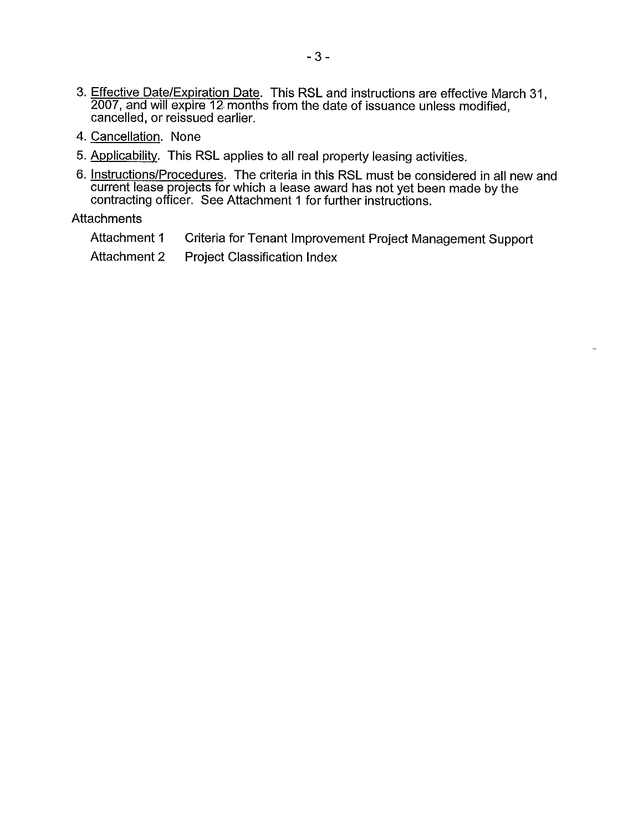- 3. Effective Date/Expiration Date. This RSL and instructions are effective March 31, 2007, and will expire 12 months from the date of issuance unless modified, cancelled, or reissued earlier.
- 4. Cancellation. None
- 5. Applicability. This RSL applies to all real property leasing activities.
- 6. Instructions/Procedures. The criteria in this RSL must be considered in all new and current lease projects for which a lease award has not yet been made by the contracting officer. See Attachment 1 for further instructions.

### **Attachments**

- Attachment 1 Criteria for Tenant Improvement Project Management Support
- Attachment 2 Project Classification Index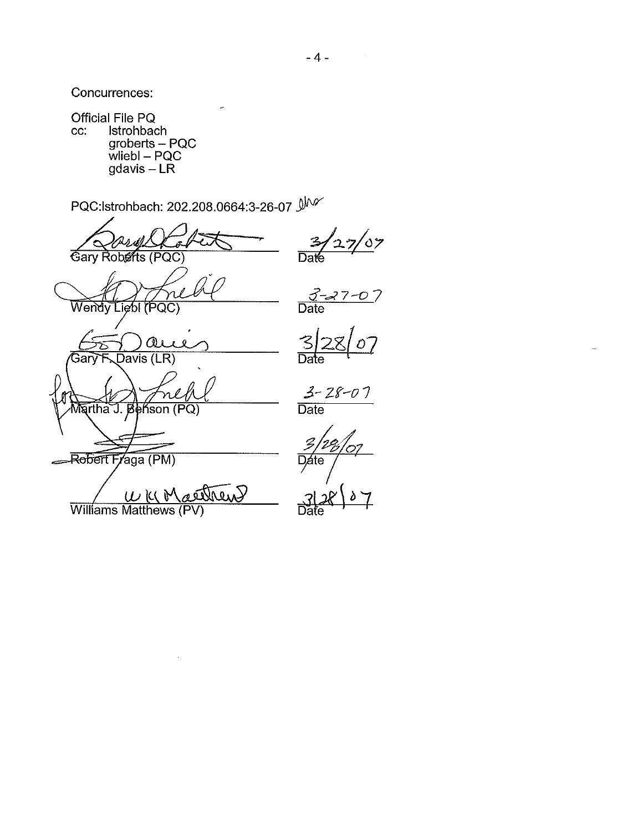Concurrences:

Official File PQ In the FQ<br>Istrohbach<br>groberts - PQC<br>wliebl - PQC<br>gdavis - LR cc:

PQC:lstrohbach: 202.208.0664:3-26-07

 $\frac{1}{27/07}$ 3 Gary Roberts (PQC)  $\overline{\mathsf{DaK}}$  $\frac{3-27-0}{\text{Date}}$ Wendy Liebl (PQC)  $\frac{3}{2}$ <br>Date  $\mathcal{O}$  $\omega$ Davis (LR) Gary  $\frac{3 - 28 - 07}{\text{Date}}$ Martha J. В ńson  $(PQ)$ Rebert Fraga (PM) aethew Williams Matthews (PV)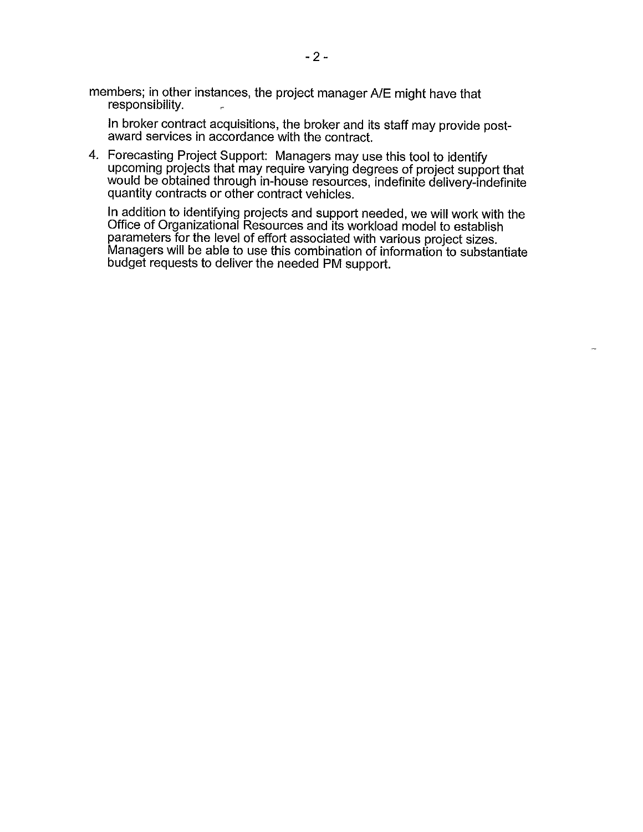members; in other instances, the project manager A/E might have that responsibility.

In broker contract acquisitions, the broker and its staff may provide postaward services in accordance with the contract.

4. Forecasting Project Support: Managers may use this tool to identify upcoming projects that may require varying degrees of project support that would be obtained through in-house resources, indefinite delivery-indefinite quantity contracts or other contract vehicles.

In addition to identifying projects and support needed, we will work with the Office of Organizational Resources and its workload model to establish parameters for the level of effort associated with various project sizes. Managers will be able to use this combination of information to substantiate budget requests to deliver the needed PM support.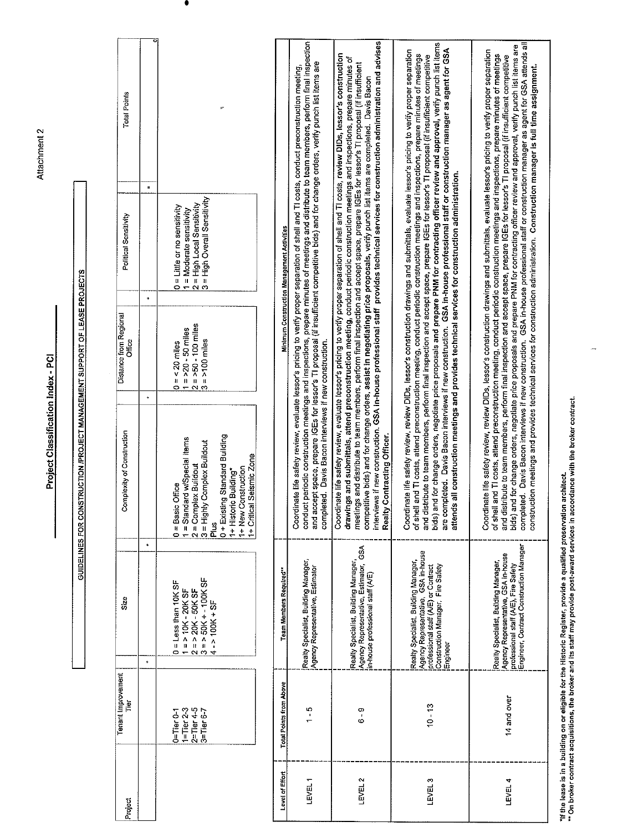| Total Points                                   |                                                                                                                                                                                                                                        |                         |                                                                                                                                                                                                                                                                                                                                                                                                                                                                                                                                                       |                                                                                                                                                                                                                                                                                                                                                                                                                                                                                                                                                                                                                                                                                                                                                        | bids) and for change orders, negotiate price proposals and prepare PNM for contracting officer review and approval, verify punch list items                                                                                                                                                                                                                                                                                                                                                                                                                                                                                                                                                  |                                                                                                                                                                                                                                                                                                                                                                                                                                                                                                                                                                                                                                                                                                                                                                                                                                                                                              |
|------------------------------------------------|----------------------------------------------------------------------------------------------------------------------------------------------------------------------------------------------------------------------------------------|-------------------------|-------------------------------------------------------------------------------------------------------------------------------------------------------------------------------------------------------------------------------------------------------------------------------------------------------------------------------------------------------------------------------------------------------------------------------------------------------------------------------------------------------------------------------------------------------|--------------------------------------------------------------------------------------------------------------------------------------------------------------------------------------------------------------------------------------------------------------------------------------------------------------------------------------------------------------------------------------------------------------------------------------------------------------------------------------------------------------------------------------------------------------------------------------------------------------------------------------------------------------------------------------------------------------------------------------------------------|----------------------------------------------------------------------------------------------------------------------------------------------------------------------------------------------------------------------------------------------------------------------------------------------------------------------------------------------------------------------------------------------------------------------------------------------------------------------------------------------------------------------------------------------------------------------------------------------------------------------------------------------------------------------------------------------|----------------------------------------------------------------------------------------------------------------------------------------------------------------------------------------------------------------------------------------------------------------------------------------------------------------------------------------------------------------------------------------------------------------------------------------------------------------------------------------------------------------------------------------------------------------------------------------------------------------------------------------------------------------------------------------------------------------------------------------------------------------------------------------------------------------------------------------------------------------------------------------------|
| ш<br>Political Sensitivity<br>$^\mathrm{+}$    | = High Overall Sensitivity<br>= High Local Sensitivity<br>= Little or no sensitivity<br>0 = Little or no sensitivity<br>1 = Moderate sensitivity<br>$\alpha$                                                                           |                         | conduct periodic construction meetings and inspections, prepare minutes of meetings and distribute to team members, perform final inspection<br>and accept space, prepare IGEs for lessor's TI proposal (if insufficient competitive bids) and for change orders, verify punch list items are<br>Coordinate life safety review, evaluate lessor's pricing to verify proper separation of shell and TI costs, conduct preconstruction meeting,<br>Minimum Construction Management Activities<br>completed. Davis Bacon interviews if new construction. |                                                                                                                                                                                                                                                                                                                                                                                                                                                                                                                                                                                                                                                                                                                                                        |                                                                                                                                                                                                                                                                                                                                                                                                                                                                                                                                                                                                                                                                                              | completed. Davis Bacon interviews if new construction. GSA in-house professional staff or construction manager as agent for GSA attends all<br>bids) and for change orders, negotiate price proposals and prepare PNM for contracting officer review and approval, verify punch list items are<br>Coordinate life safety review, review DIDs, lessor's construction drawings and submittals, evaluate lessor's pricing to verify proper separation<br>and TI costs, attend preconstruction meeting, conduct periodic construction meetings and inspections, prepare minutes of meetings<br>and distribute to team members, perform final inspection and accept space, prepare IGEs for lessor's TI proposal (if insufficient competitive<br>construction meetings and provides technical services for construction administration. Construction manager is full time assignment.<br>of shell |
| Distance from Regional<br><b>Office</b>        | $=$ >50 - 100 miles<br>$0 = 20$ miles<br>1 = >20 - 50 miles<br>$2 = -50 - 100$ miles                                                                                                                                                   |                         |                                                                                                                                                                                                                                                                                                                                                                                                                                                                                                                                                       | interviews if new construction. GSA in-house professional staff provides technical services for construction administration and advises<br>Coordinate life safety review, evaluate lessor's pricing to verify proper separation of shell and TI costs, review DIDs, lessor's construction<br>drawings and submittals, attend preconstruction meeting, conduct periodic construction meetings and inspections, prepare minutes of<br>meetings and distribute to team members, perform final inspection and accept space, prepare IGEs for lessor's Ti proposal (if insufficient<br>competitive bids) and for change orders, assist in negotiating price proposals, verify punch list items are completed. Davis Bacon<br>Contracting Officer.<br>Realty |                                                                                                                                                                                                                                                                                                                                                                                                                                                                                                                                                                                                                                                                                              |                                                                                                                                                                                                                                                                                                                                                                                                                                                                                                                                                                                                                                                                                                                                                                                                                                                                                              |
| $\ddot{\bullet}$<br>Complexity of Construction | 0 + Existing Standard Building<br>1 = Standard w/Special items<br>3 = Highly Complex Buildout<br>1+ Critical Seismic Zone<br>$2 =$ Complex Buildout<br>1+ New Construction<br>1+ Historic Building*<br>$0 =$ Basic Office<br>Plus<br>E |                         |                                                                                                                                                                                                                                                                                                                                                                                                                                                                                                                                                       |                                                                                                                                                                                                                                                                                                                                                                                                                                                                                                                                                                                                                                                                                                                                                        | are completed. Davis Bacon interviews if new construction. GSA in-house professional staff or construction manager as agent for GSA<br>Coordinate life safety review, review DIDs, lessor's construction drawings and submittals, evaluate lessor's pricing to verify proper separation<br>of shell and TI costs, attend preconstruction meeting, conduct periodic construction meetings and inspections, prepare minutes of meetings<br>and distribute to team members, perform final inspection and accept space, prepare IGEs for lessor's TI proposal (if insufficient competitive<br>attends all construction meetings and provides technical services for construction administration. |                                                                                                                                                                                                                                                                                                                                                                                                                                                                                                                                                                                                                                                                                                                                                                                                                                                                                              |
| ۰<br>Size<br>$\spadesuit$                      | $3 = 50K + 100K$ SF<br>$0 =$ Less than 10K SF<br>$2 = 20K - 50K$ SF<br>$1 = 510K - 20K SF$<br>$4 - 100K + SF$                                                                                                                          | Team Members Required** | Realty Specialist, Building Manager,<br>Agency Representative, Estimator                                                                                                                                                                                                                                                                                                                                                                                                                                                                              | Agency Representative, Estimator, GSA<br>Realty Specialist, Building Manager,<br>in-house professional staff (A/E)                                                                                                                                                                                                                                                                                                                                                                                                                                                                                                                                                                                                                                     | Agency Representative, GSA in-house<br>Realty Specialist, Building Manager,<br>professional staff (A/E) or Contract<br>Construction Manager, Fire Safety<br>Engineer                                                                                                                                                                                                                                                                                                                                                                                                                                                                                                                         | professional staff (A/E), Fire Safety<br>Engineer, Contract Construction Manager<br>Agency Representative, GSA in-house<br>Realty Specialist, Building Manager,                                                                                                                                                                                                                                                                                                                                                                                                                                                                                                                                                                                                                                                                                                                              |
| Tenant Improvement<br>ĨΫ                       | $2$ =Tier 4-5<br>1=Tier 2-3<br>$3 =$ Tier 6-7<br>$0 =$ Tier $0 - 1$                                                                                                                                                                    | Total Points from Above | $\frac{6}{1}$                                                                                                                                                                                                                                                                                                                                                                                                                                                                                                                                         | $6 - 9$                                                                                                                                                                                                                                                                                                                                                                                                                                                                                                                                                                                                                                                                                                                                                | $10 - 13$                                                                                                                                                                                                                                                                                                                                                                                                                                                                                                                                                                                                                                                                                    | 14 and over                                                                                                                                                                                                                                                                                                                                                                                                                                                                                                                                                                                                                                                                                                                                                                                                                                                                                  |
| Project                                        |                                                                                                                                                                                                                                        | Level of Effort         | LEVEL <sub>1</sub>                                                                                                                                                                                                                                                                                                                                                                                                                                                                                                                                    | LEVEL 2                                                                                                                                                                                                                                                                                                                                                                                                                                                                                                                                                                                                                                                                                                                                                | LEVEL <sub>3</sub>                                                                                                                                                                                                                                                                                                                                                                                                                                                                                                                                                                                                                                                                           | LEVEL 4                                                                                                                                                                                                                                                                                                                                                                                                                                                                                                                                                                                                                                                                                                                                                                                                                                                                                      |

"If the lease is in a building on or eligible for the Historic Register, provide a qualified preservation architect.<br>" On broker contract acquisitions, the broker and its staff may provide post-award services in accordanc

 $\frac{1}{2}$ 

GUIDELINES FOR CONSTRUCTION /PROJECT MANAGEMENT SUPPORT OF LEASE PROJECTS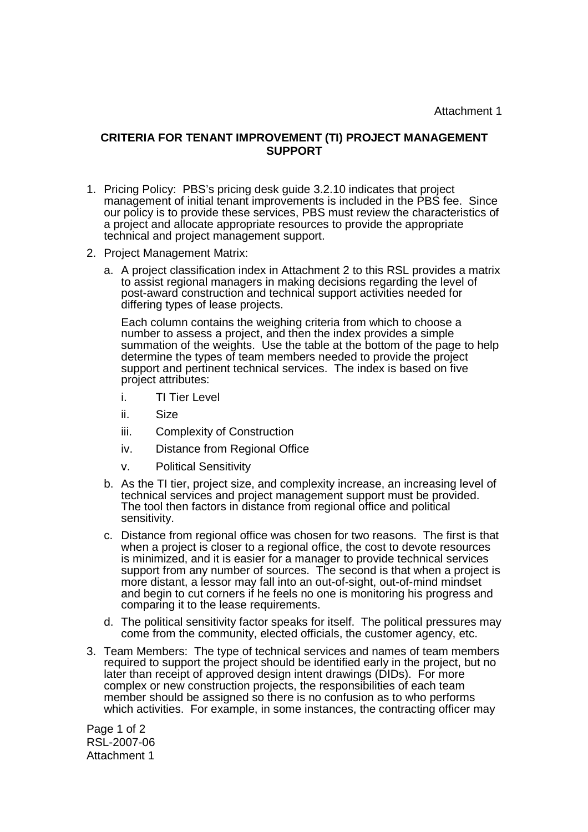Attachment 1

## **CRITERIA FOR TENANT IMPROVEMENT (TI) PROJECT MANAGEMENT SUPPORT**

- 1. Pricing Policy: PBS's pricing desk guide 3.2.10 indicates that project management of initial tenant improvements is included in the PBS fee. Since our policy is to provide these services, PBS must review the characteristics of a project and allocate appropriate resources to provide the appropriate technical and project management support.
- 2. Project Management Matrix:
	- a. A project classification index in Attachment 2 to this RSL provides a matrix to assist regional managers in making decisions regarding the level of post-award construction and technical support activities needed for differing types of lease projects.

Each column contains the weighing criteria from which to choose a number to assess a project, and then the index provides a simple summation of the weights. Use the table at the bottom of the page to help determine the types of team members needed to provide the project support and pertinent technical services. The index is based on five project attributes:

- i. TI Tier Level
- ii. Size
- iii. Complexity of Construction
- iv. Distance from Regional Office
- v. Political Sensitivity
- b. As the TI tier, project size, and complexity increase, an increasing level of technical services and project management support must be provided. The tool then factors in distance from regional office and political sensitivity.
- c. Distance from regional office was chosen for two reasons. The first is that when a project is closer to a regional office, the cost to devote resources is minimized, and it is easier for a manager to provide technical services support from any number of sources. The second is that when a project is more distant, a lessor may fall into an out-of-sight, out-of-mind mindset and begin to cut corners if he feels no one is monitoring his progress and comparing it to the lease requirements.
- d. The political sensitivity factor speaks for itself. The political pressures may come from the community, elected officials, the customer agency, etc.
- 3. Team Members: The type of technical services and names of team members required to support the project should be identified early in the project, but no later than receipt of approved design intent drawings (DIDs). For more complex or new construction projects, the responsibilities of each team member should be assigned so there is no confusion as to who performs which activities. For example, in some instances, the contracting officer may

Page 1 of 2 RSL-2007-06 Attachment 1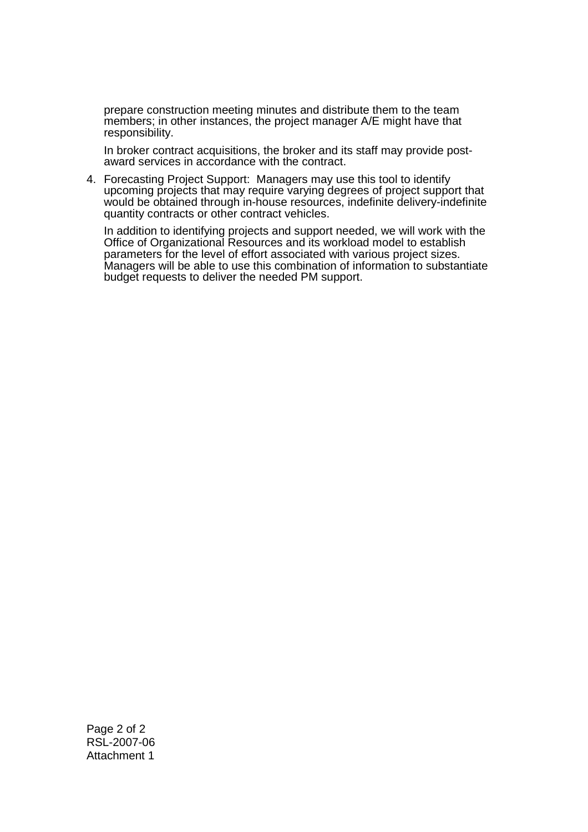prepare construction meeting minutes and distribute them to the team members; in other instances, the project manager A/E might have that responsibility.

In broker contract acquisitions, the broker and its staff may provide postaward services in accordance with the contract.

4. Forecasting Project Support: Managers may use this tool to identify upcoming projects that may require varying degrees of project support that would be obtained through in-house resources, indefinite delivery-indefinite quantity contracts or other contract vehicles.

In addition to identifying projects and support needed, we will work with the Office of Organizational Resources and its workload model to establish parameters for the level of effort associated with various project sizes. Managers will be able to use this combination of information to substantiate budget requests to deliver the needed PM support.

Page 2 of 2 RSL-2007-06 Attachment 1